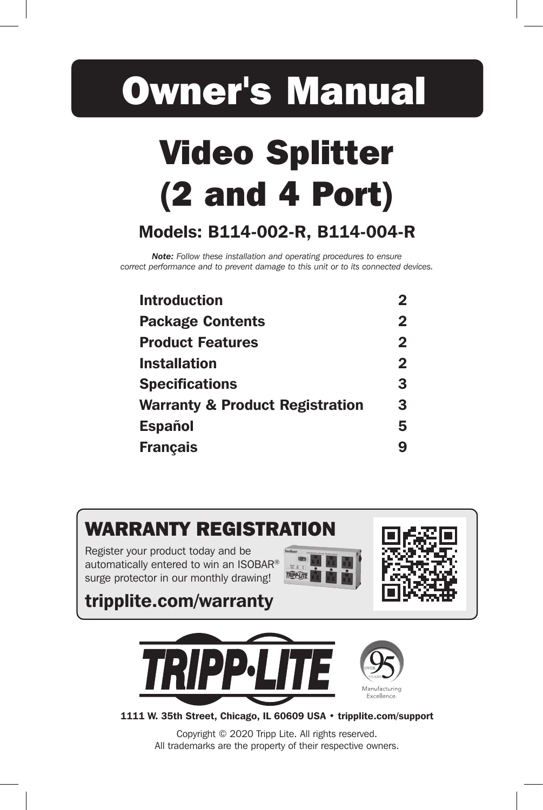# Owner's Manual

# Video Splitter (2 and 4 Port)

# Models: B114-002-R, B114-004-R

*Note: Follow these installation and operating procedures to ensure correct performance and to prevent damage to this unit or to its connected devices.* 

| <b>Introduction</b>                        |              |
|--------------------------------------------|--------------|
| <b>Package Contents</b>                    | $\mathbf 2$  |
| <b>Product Features</b>                    | $\mathbf{2}$ |
| <b>Installation</b>                        | $\mathbf{2}$ |
| <b>Specifications</b>                      | 3            |
| <b>Warranty &amp; Product Registration</b> | 3            |
| <b>Español</b>                             | 5            |
| <b>Français</b>                            | 9            |
|                                            |              |



Copyright © 2020 Tripp Lite. All rights reserved. All trademarks are the property of their respective owners.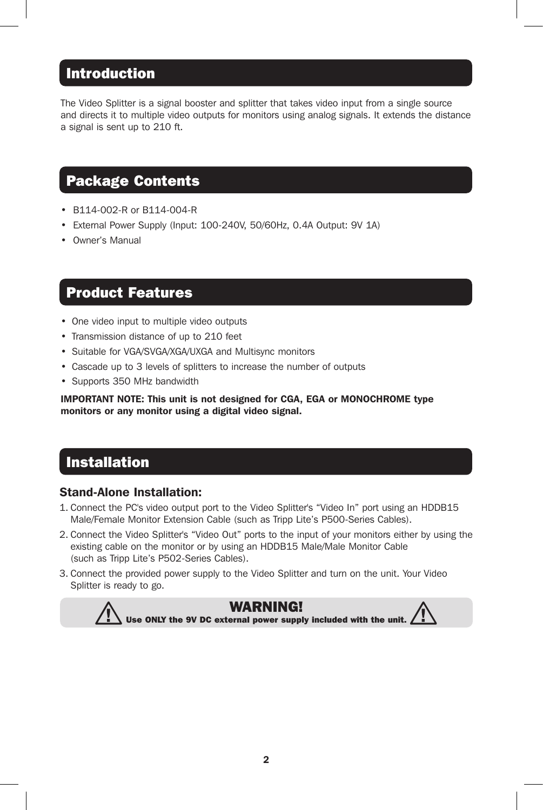### Introduction

The Video Splitter is a signal booster and splitter that takes video input from a single source and directs it to multiple video outputs for monitors using analog signals. It extends the distance a signal is sent up to 210 ft.

# Package Contents

- B114-002-R or B114-004-R
- External Power Supply (Input: 100-240V, 50/60Hz, 0.4A Output: 9V 1A)
- Owner's Manual

#### Product Features

- One video input to multiple video outputs
- Transmission distance of up to 210 feet
- Suitable for VGA/SVGA/XGA/UXGA and Multisync monitors
- Cascade up to 3 levels of splitters to increase the number of outputs
- Supports 350 MHz bandwidth

IMPORTANT NOTE: This unit is not designed for CGA, EGA or MONOCHROME type monitors or any monitor using a digital video signal.

### Installation

#### Stand-Alone Installation:

- 1. Connect the PC's video output port to the Video Splitter's "Video In" port using an HDDB15 Male/Female Monitor Extension Cable (such as Tripp Lite's P500-Series Cables).
- 2. Connect the Video Splitter's "Video Out" ports to the input of your monitors either by using the existing cable on the monitor or by using an HDDB15 Male/Male Monitor Cable (such as Tripp Lite's P502-Series Cables).
- 3. Connect the provided power supply to the Video Splitter and turn on the unit. Your Video Splitter is ready to go.

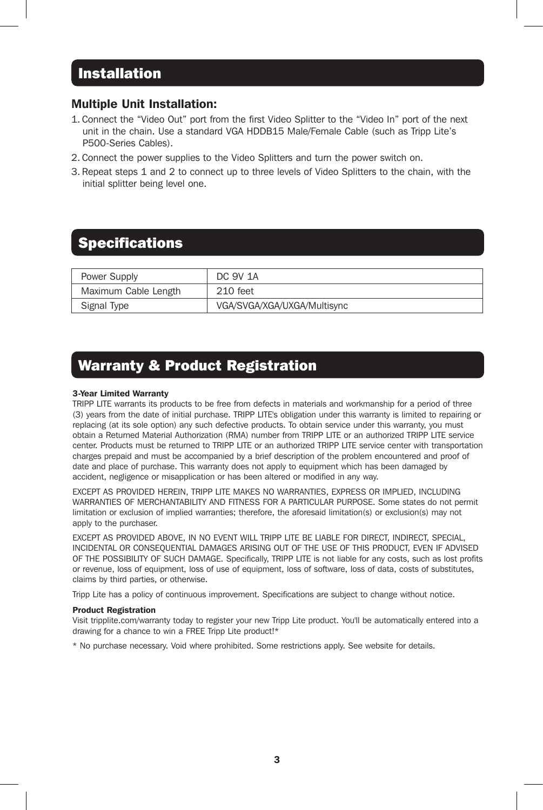#### Installation

#### Multiple Unit Installation:

- 1. Connect the "Video Out" port from the first Video Splitter to the "Video In" port of the next unit in the chain. Use a standard VGA HDDB15 Male/Female Cable (such as Tripp Lite's P500-Series Cables).
- 2. Connect the power supplies to the Video Splitters and turn the power switch on.
- 3. Repeat steps 1 and 2 to connect up to three levels of Video Splitters to the chain, with the initial splitter being level one.

# **Specifications**

| Power Supply         | DC 9V 1A                    |
|----------------------|-----------------------------|
| Maximum Cable Length | 210 feet                    |
| Signal Type          | VGA/SVGA/XGA/UXGA/Multisync |

# Warranty & Product Registration

#### 3-Year Limited Warranty

TRIPP LITE warrants its products to be free from defects in materials and workmanship for a period of three (3) years from the date of initial purchase. TRIPP LITE's obligation under this warranty is limited to repairing or replacing (at its sole option) any such defective products. To obtain service under this warranty, you must obtain a Returned Material Authorization (RMA) number from TRIPP LITE or an authorized TRIPP LITE service center. Products must be returned to TRIPP LITE or an authorized TRIPP LITE service center with transportation charges prepaid and must be accompanied by a brief description of the problem encountered and proof of date and place of purchase. This warranty does not apply to equipment which has been damaged by accident, negligence or misapplication or has been altered or modified in any way.

EXCEPT AS PROVIDED HEREIN, TRIPP LITE MAKES NO WARRANTIES, EXPRESS OR IMPLIED, INCLUDING WARRANTIES OF MERCHANTABILITY AND FITNESS FOR A PARTICULAR PURPOSE. Some states do not permit limitation or exclusion of implied warranties; therefore, the aforesaid limitation(s) or exclusion(s) may not apply to the purchaser.

EXCEPT AS PROVIDED ABOVE, IN NO EVENT WILL TRIPP LITE BE LIABLE FOR DIRECT, INDIRECT, SPECIAL, INCIDENTAL OR CONSEQUENTIAL DAMAGES ARISING OUT OF THE USE OF THIS PRODUCT, EVEN IF ADVISED OF THE POSSIBILITY OF SUCH DAMAGE. Specifically, TRIPP LITE is not liable for any costs, such as lost profits or revenue, loss of equipment, loss of use of equipment, loss of software, loss of data, costs of substitutes, claims by third parties, or otherwise.

Tripp Lite has a policy of continuous improvement. Specifications are subject to change without notice.

#### Product Registration

Visit tripplite.com/warranty today to register your new Tripp Lite product. You'll be automatically entered into a drawing for a chance to win a FREE Tripp Lite product!\*

\* No purchase necessary. Void where prohibited. Some restrictions apply. See website for details.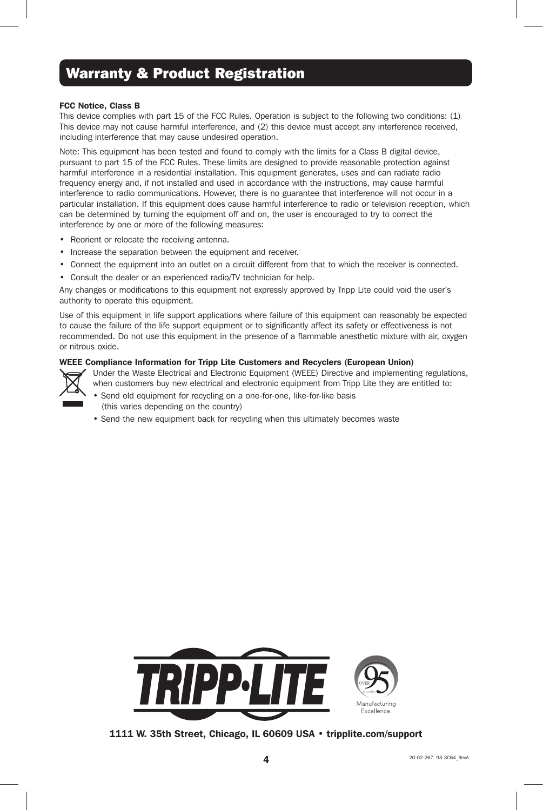# Warranty & Product Registration

#### FCC Notice, Class B

This device complies with part 15 of the FCC Rules. Operation is subject to the following two conditions: (1) This device may not cause harmful interference, and (2) this device must accept any interference received, including interference that may cause undesired operation.

Note: This equipment has been tested and found to comply with the limits for a Class B digital device, pursuant to part 15 of the FCC Rules. These limits are designed to provide reasonable protection against harmful interference in a residential installation. This equipment generates, uses and can radiate radio frequency energy and, if not installed and used in accordance with the instructions, may cause harmful interference to radio communications. However, there is no guarantee that interference will not occur in a particular installation. If this equipment does cause harmful interference to radio or television reception, which can be determined by turning the equipment off and on, the user is encouraged to try to correct the interference by one or more of the following measures:

- Reorient or relocate the receiving antenna.
- Increase the separation between the equipment and receiver.
- Connect the equipment into an outlet on a circuit different from that to which the receiver is connected.
- Consult the dealer or an experienced radio/TV technician for help.

Any changes or modifications to this equipment not expressly approved by Tripp Lite could void the user's authority to operate this equipment.

Use of this equipment in life support applications where failure of this equipment can reasonably be expected to cause the failure of the life support equipment or to significantly affect its safety or effectiveness is not recommended. Do not use this equipment in the presence of a flammable anesthetic mixture with air, oxygen or nitrous oxide.

#### WEEE Compliance Information for Tripp Lite Customers and Recyclers (European Union)



Under the Waste Electrical and Electronic Equipment (WEEE) Directive and implementing regulations, when customers buy new electrical and electronic equipment from Tripp Lite they are entitled to:

- Send old equipment for recycling on a one-for-one, like-for-like basis (this varies depending on the country)
- Send the new equipment back for recycling when this ultimately becomes waste



1111 W. 35th Street, Chicago, IL 60609 USA • tripplite.com/support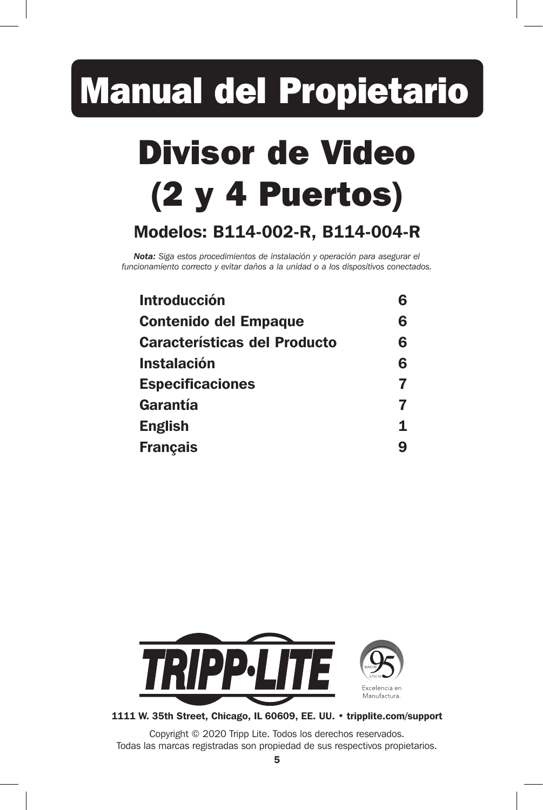# Manual del Propietario

# Divisor de Video (2 y 4 Puertos)

# Modelos: B114-002-R, B114-004-R

*Nota: Siga estos procedimientos de instalación y operación para asegurar el funcionamiento correcto y evitar daños a la unidad o a los dispositivos conectados.* 

| <b>Introducción</b>                 |   |
|-------------------------------------|---|
| <b>Contenido del Empaque</b>        | 6 |
| <b>Características del Producto</b> | 6 |
| <b>Instalación</b>                  | 6 |
| <b>Especificaciones</b>             |   |
| Garantía                            | 7 |
| <b>English</b>                      | 1 |
| <b>Français</b>                     | q |
|                                     |   |



1111 W. 35th Street, Chicago, IL 60609, EE. UU. • tripplite.com/support

Copyright © 2020 Tripp Lite. Todos los derechos reservados. Todas las marcas registradas son propiedad de sus respectivos propietarios.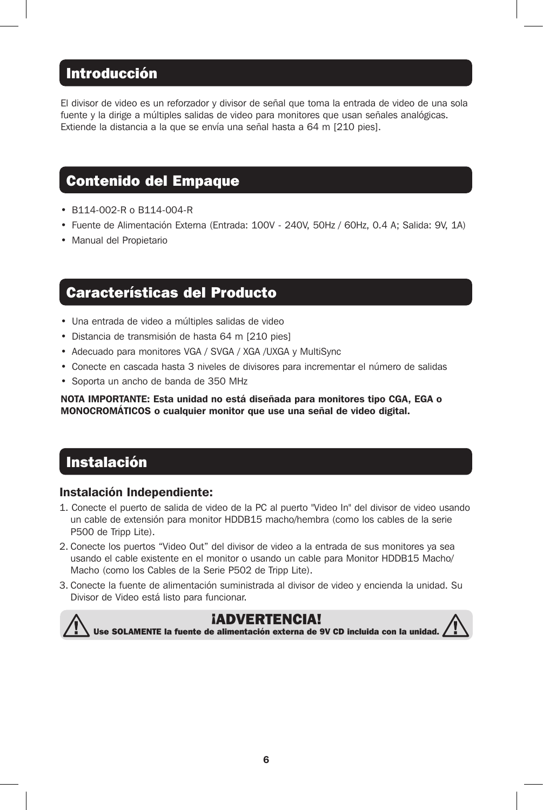# Introducción

El divisor de video es un reforzador y divisor de señal que toma la entrada de video de una sola fuente y la dirige a múltiples salidas de video para monitores que usan señales analógicas. Extiende la distancia a la que se envía una señal hasta a 64 m [210 pies].

## Contenido del Empaque

- B114-002-R o B114-004-R
- Fuente de Alimentación Externa (Entrada: 100V 240V, 50Hz / 60Hz, 0.4 A; Salida: 9V, 1A)
- Manual del Propietario

#### Características del Producto

- Una entrada de video a múltiples salidas de video
- Distancia de transmisión de hasta 64 m [210 pies]
- Adecuado para monitores VGA / SVGA / XGA /UXGA y MultiSync
- Conecte en cascada hasta 3 niveles de divisores para incrementar el número de salidas
- Soporta un ancho de banda de 350 MHz

NOTA IMPORTANTE: Esta unidad no está diseñada para monitores tipo CGA, EGA o MONOCROMÁTICOS o cualquier monitor que use una señal de video digital.

#### Instalación

#### Instalación Independiente:

- 1. Conecte el puerto de salida de video de la PC al puerto "Video In" del divisor de video usando un cable de extensión para monitor HDDB15 macho/hembra (como los cables de la serie P500 de Tripp Lite).
- 2. Conecte los puertos "Video Out" del divisor de video a la entrada de sus monitores ya sea usando el cable existente en el monitor o usando un cable para Monitor HDDB15 Macho/ Macho (como los Cables de la Serie P502 de Tripp Lite).
- 3. Conecte la fuente de alimentación suministrada al divisor de video y encienda la unidad. Su Divisor de Video está listo para funcionar.

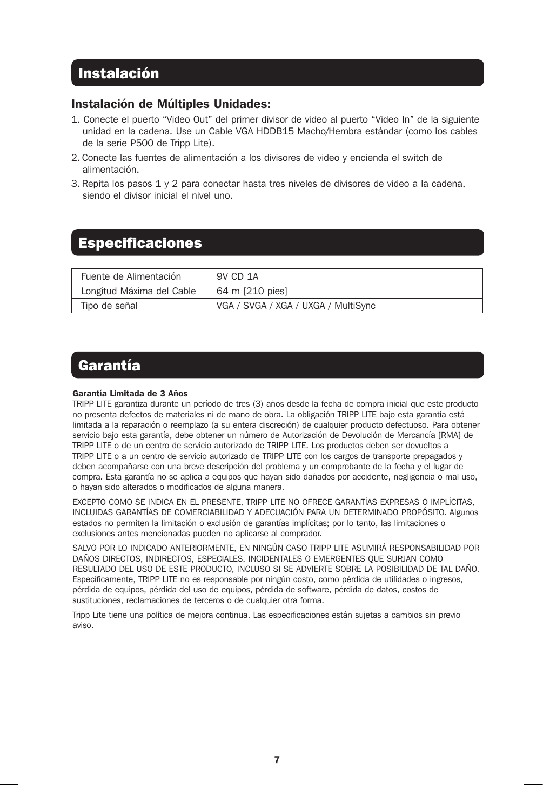# **Instalación**

#### Instalación de Múltiples Unidades:

- 1. Conecte el puerto "Video Out" del primer divisor de video al puerto "Video In" de la siguiente unidad en la cadena. Use un Cable VGA HDDB15 Macho/Hembra estándar (como los cables de la serie P500 de Tripp Lite).
- 2. Conecte las fuentes de alimentación a los divisores de video y encienda el switch de alimentación.
- 3. Repita los pasos 1 y 2 para conectar hasta tres niveles de divisores de video a la cadena, siendo el divisor inicial el nivel uno.

# Especificaciones

| Fuente de Alimentación    | 9V CD 1A                            |
|---------------------------|-------------------------------------|
| Longitud Máxima del Cable | 64 m [210 pies]                     |
| Tipo de señal             | VGA / SVGA / XGA / UXGA / MultiSync |

#### Garantía

#### Garantía Limitada de 3 Años

TRIPP LITE garantiza durante un período de tres (3) años desde la fecha de compra inicial que este producto no presenta defectos de materiales ni de mano de obra. La obligación TRIPP LITE bajo esta garantía está limitada a la reparación o reemplazo (a su entera discreción) de cualquier producto defectuoso. Para obtener servicio bajo esta garantía, debe obtener un número de Autorización de Devolución de Mercancía [RMA] de TRIPP LITE o de un centro de servicio autorizado de TRIPP LITE. Los productos deben ser devueltos a TRIPP LITE o a un centro de servicio autorizado de TRIPP LITE con los cargos de transporte prepagados y deben acompañarse con una breve descripción del problema y un comprobante de la fecha y el lugar de compra. Esta garantía no se aplica a equipos que hayan sido dañados por accidente, negligencia o mal uso, o hayan sido alterados o modificados de alguna manera.

EXCEPTO COMO SE INDICA EN EL PRESENTE, TRIPP LITE NO OFRECE GARANTÍAS EXPRESAS O IMPLÍCITAS, INCLUIDAS GARANTÍAS DE COMERCIABILIDAD Y ADECUACIÓN PARA UN DETERMINADO PROPÓSITO. Algunos estados no permiten la limitación o exclusión de garantías implícitas; por lo tanto, las limitaciones o exclusiones antes mencionadas pueden no aplicarse al comprador.

SALVO POR LO INDICADO ANTERIORMENTE, EN NINGÚN CASO TRIPP LITE ASUMIRÁ RESPONSABILIDAD POR DAÑOS DIRECTOS, INDIRECTOS, ESPECIALES, INCIDENTALES O EMERGENTES QUE SURJAN COMO RESULTADO DEL USO DE ESTE PRODUCTO, INCLUSO SI SE ADVIERTE SOBRE LA POSIBILIDAD DE TAL DAÑO. Específicamente, TRIPP LITE no es responsable por ningún costo, como pérdida de utilidades o ingresos, pérdida de equipos, pérdida del uso de equipos, pérdida de software, pérdida de datos, costos de sustituciones, reclamaciones de terceros o de cualquier otra forma.

Tripp Lite tiene una política de mejora continua. Las especificaciones están sujetas a cambios sin previo aviso.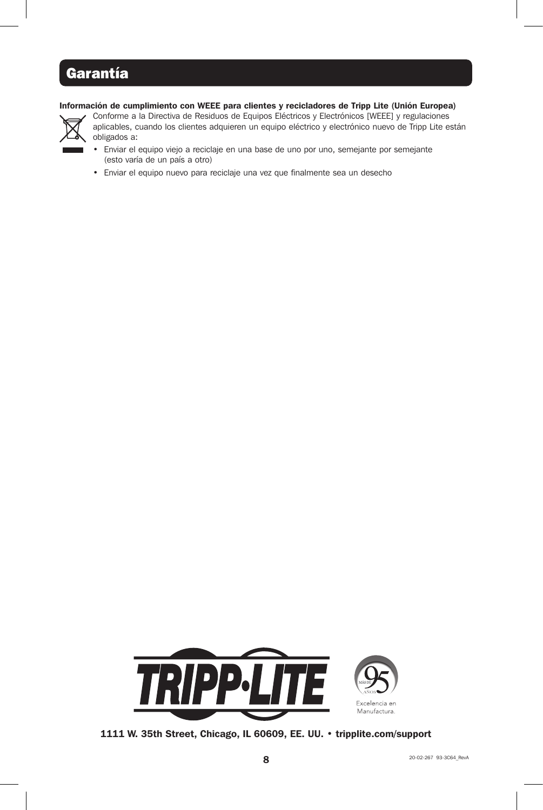# Garantía

#### Información de cumplimiento con WEEE para clientes y recicladores de Tripp Lite (Unión Europea)



Conforme a la Directiva de Residuos de Equipos Eléctricos y Electrónicos [WEEE] y regulaciones aplicables, cuando los clientes adquieren un equipo eléctrico y electrónico nuevo de Tripp Lite están obligados a:

- Enviar el equipo viejo a reciclaje en una base de uno por uno, semejante por semejante (esto varía de un país a otro)
- Enviar el equipo nuevo para reciclaje una vez que finalmente sea un desecho



1111 W. 35th Street, Chicago, IL 60609, EE. UU. • tripplite.com/support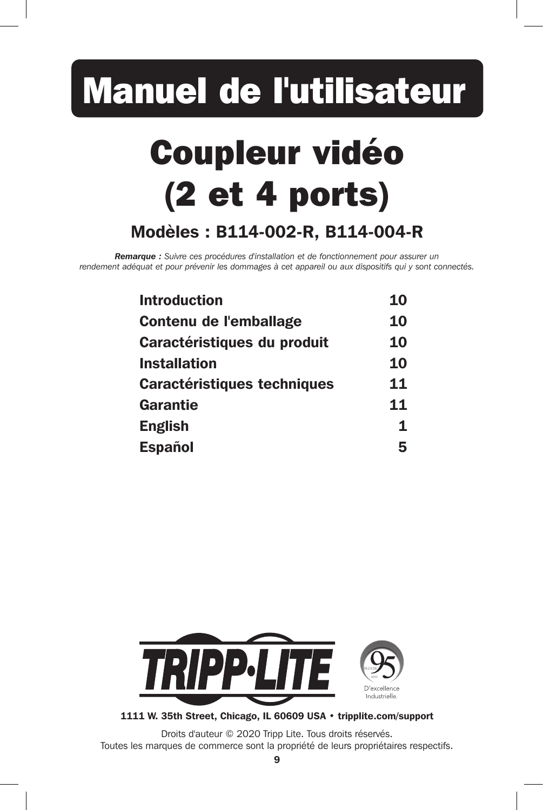# Manuel de l'utilisateur

# Coupleur vidéo (2 et 4 ports) Modèles : B114-002-R, B114-004-R

*Remarque : Suivre ces procédures d'installation et de fonctionnement pour assurer un rendement adéquat et pour prévenir les dommages à cet appareil ou aux dispositifs qui y sont connectés.* 

| 10        |
|-----------|
| <b>10</b> |
| 10        |
| 10        |
| 11        |
| 11        |
| 1         |
| 5         |
|           |



1111 W. 35th Street, Chicago, IL 60609 USA • tripplite.com/support

Droits d'auteur © 2020 Tripp Lite. Tous droits réservés. Toutes les marques de commerce sont la propriété de leurs propriétaires respectifs.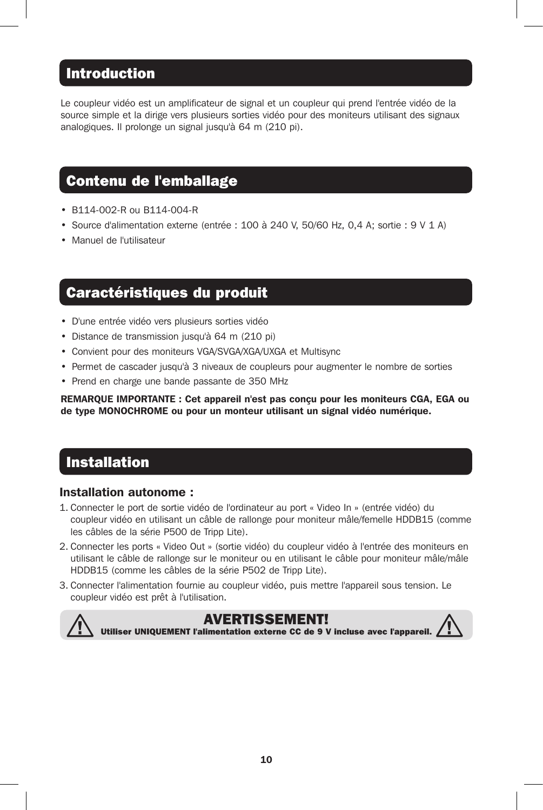## Introduction

Le coupleur vidéo est un amplificateur de signal et un coupleur qui prend l'entrée vidéo de la source simple et la dirige vers plusieurs sorties vidéo pour des moniteurs utilisant des signaux analogiques. Il prolonge un signal jusqu'à 64 m (210 pi).

### Contenu de l'emballage

- B114-002-R ou B114-004-R
- Source d'alimentation externe (entrée : 100 à 240 V, 50/60 Hz, 0,4 A; sortie : 9 V 1 A)
- Manuel de l'utilisateur

#### Caractéristiques du produit

- D'une entrée vidéo vers plusieurs sorties vidéo
- Distance de transmission jusqu'à 64 m (210 pi)
- Convient pour des moniteurs VGA/SVGA/XGA/UXGA et Multisync
- Permet de cascader jusqu'à 3 niveaux de coupleurs pour augmenter le nombre de sorties
- Prend en charge une bande passante de 350 MHz

REMARQUE IMPORTANTE : Cet appareil n'est pas conçu pour les moniteurs CGA, EGA ou de type MONOCHROME ou pour un monteur utilisant un signal vidéo numérique.

#### Installation

#### Installation autonome :

- 1. Connecter le port de sortie vidéo de l'ordinateur au port « Video In » (entrée vidéo) du coupleur vidéo en utilisant un câble de rallonge pour moniteur mâle/femelle HDDB15 (comme les câbles de la série P500 de Tripp Lite).
- 2. Connecter les ports « Video Out » (sortie vidéo) du coupleur vidéo à l'entrée des moniteurs en utilisant le câble de rallonge sur le moniteur ou en utilisant le câble pour moniteur mâle/mâle HDDB15 (comme les câbles de la série P502 de Tripp Lite).
- 3. Connecter l'alimentation fournie au coupleur vidéo, puis mettre l'appareil sous tension. Le coupleur vidéo est prêt à l'utilisation.

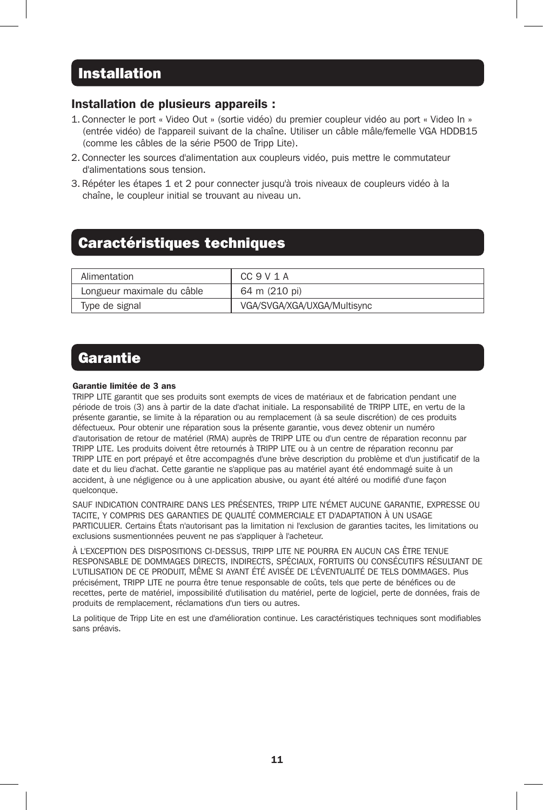#### Installation

#### Installation de plusieurs appareils :

- 1. Connecter le port « Video Out » (sortie vidéo) du premier coupleur vidéo au port « Video In » (entrée vidéo) de l'appareil suivant de la chaîne. Utiliser un câble mâle/femelle VGA HDDB15 (comme les câbles de la série P500 de Tripp Lite).
- 2. Connecter les sources d'alimentation aux coupleurs vidéo, puis mettre le commutateur d'alimentations sous tension.
- 3. Répéter les étapes 1 et 2 pour connecter jusqu'à trois niveaux de coupleurs vidéo à la chaîne, le coupleur initial se trouvant au niveau un.

#### Caractéristiques techniques

| Alimentation               | CC 9 V 1 A                  |
|----------------------------|-----------------------------|
| Longueur maximale du câble | 64 m (210 pi)               |
| Type de signal             | VGA/SVGA/XGA/UXGA/Multisync |

### **Garantie**

#### Garantie limitée de 3 ans

TRIPP LITE garantit que ses produits sont exempts de vices de matériaux et de fabrication pendant une période de trois (3) ans à partir de la date d'achat initiale. La responsabilité de TRIPP LITE, en vertu de la présente garantie, se limite à la réparation ou au remplacement (à sa seule discrétion) de ces produits défectueux. Pour obtenir une réparation sous la présente garantie, vous devez obtenir un numéro d'autorisation de retour de matériel (RMA) auprès de TRIPP LITE ou d'un centre de réparation reconnu par TRIPP LITE. Les produits doivent être retournés à TRIPP LITE ou à un centre de réparation reconnu par TRIPP LITE en port prépayé et être accompagnés d'une brève description du problème et d'un justificatif de la date et du lieu d'achat. Cette garantie ne s'applique pas au matériel ayant été endommagé suite à un accident, à une négligence ou à une application abusive, ou ayant été altéré ou modifié d'une façon quelconque.

SAUF INDICATION CONTRAIRE DANS LES PRÉSENTES, TRIPP LITE N'ÉMET AUCUNE GARANTIE, EXPRESSE OU TACITE, Y COMPRIS DES GARANTIES DE QUALITÉ COMMERCIALE ET D'ADAPTATION À UN USAGE PARTICULIER. Certains États n'autorisant pas la limitation ni l'exclusion de garanties tacites, les limitations ou exclusions susmentionnées peuvent ne pas s'appliquer à l'acheteur.

À L'EXCEPTION DES DISPOSITIONS CI-DESSUS, TRIPP LITE NE POURRA EN AUCUN CAS ÊTRE TENUE RESPONSABLE DE DOMMAGES DIRECTS, INDIRECTS, SPÉCIAUX, FORTUITS OU CONSÉCUTIFS RÉSULTANT DE L'UTILISATION DE CE PRODUIT, MÊME SI AYANT ÉTÉ AVISÉE DE L'ÉVENTUALITÉ DE TELS DOMMAGES. Plus précisément, TRIPP LITE ne pourra être tenue responsable de coûts, tels que perte de bénéfices ou de recettes, perte de matériel, impossibilité d'utilisation du matériel, perte de logiciel, perte de données, frais de produits de remplacement, réclamations d'un tiers ou autres.

La politique de Tripp Lite en est une d'amélioration continue. Les caractéristiques techniques sont modifiables sans préavis.